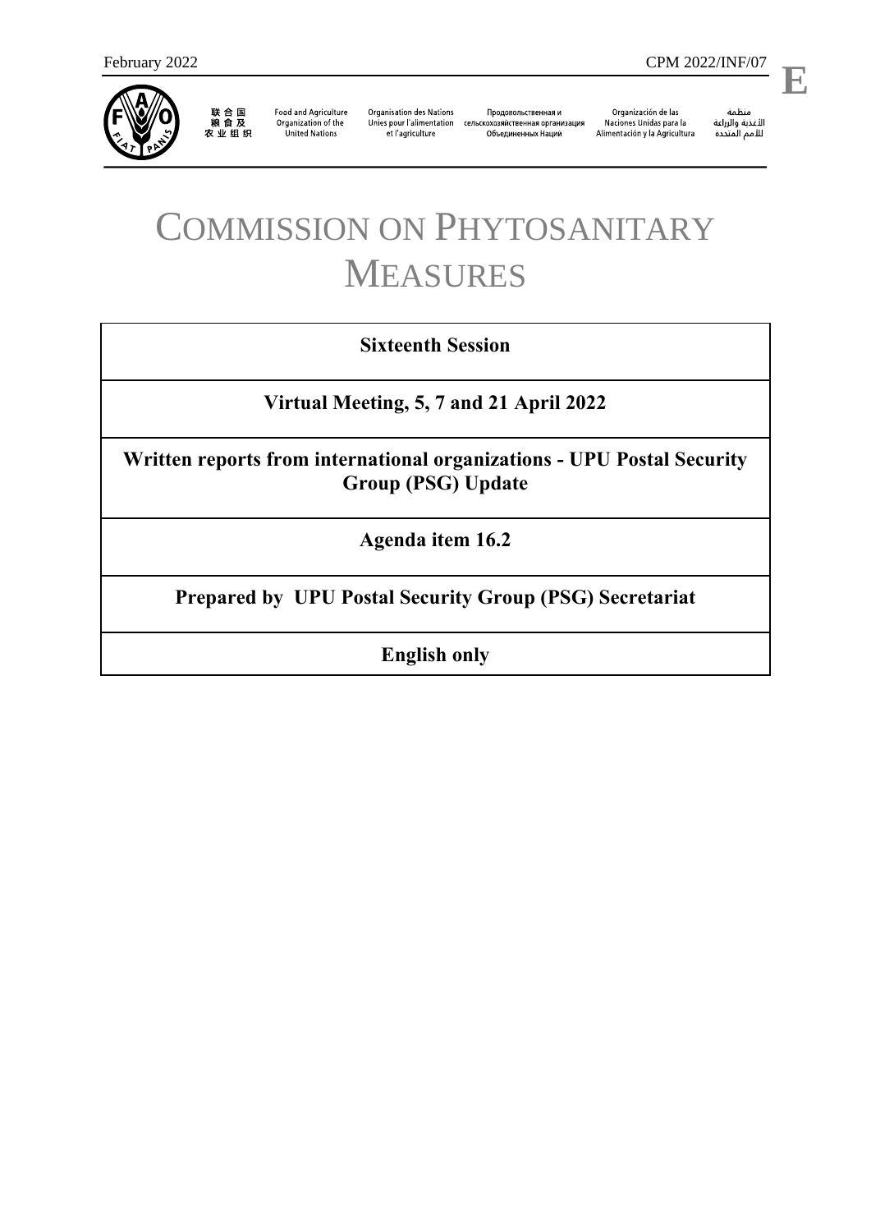

联合国<br>粮食及<br>农业组织

**Food and Agriculture** Organization of the **United Nations** 

**Organisation des Nations** et l'agriculture

Продовольственная и Unies pour l'alimentation сельскохозяйственная организация Объединенных Наций

Organización de las Naciones Unidas para la Alimentación y la Agricultura

منظمة ستنسه<br>الأغذية والزراعة<br>للأمم المتددة

l,

# COMMISSION ON PHYTOSANITARY MEASURES

## **Sixteenth Session**

**Virtual Meeting, 5, 7 and 21 April 2022**

**Written reports from international organizations - UPU Postal Security Group (PSG) Update**

**Agenda item 16.2**

**Prepared by UPU Postal Security Group (PSG) Secretariat**

**English only**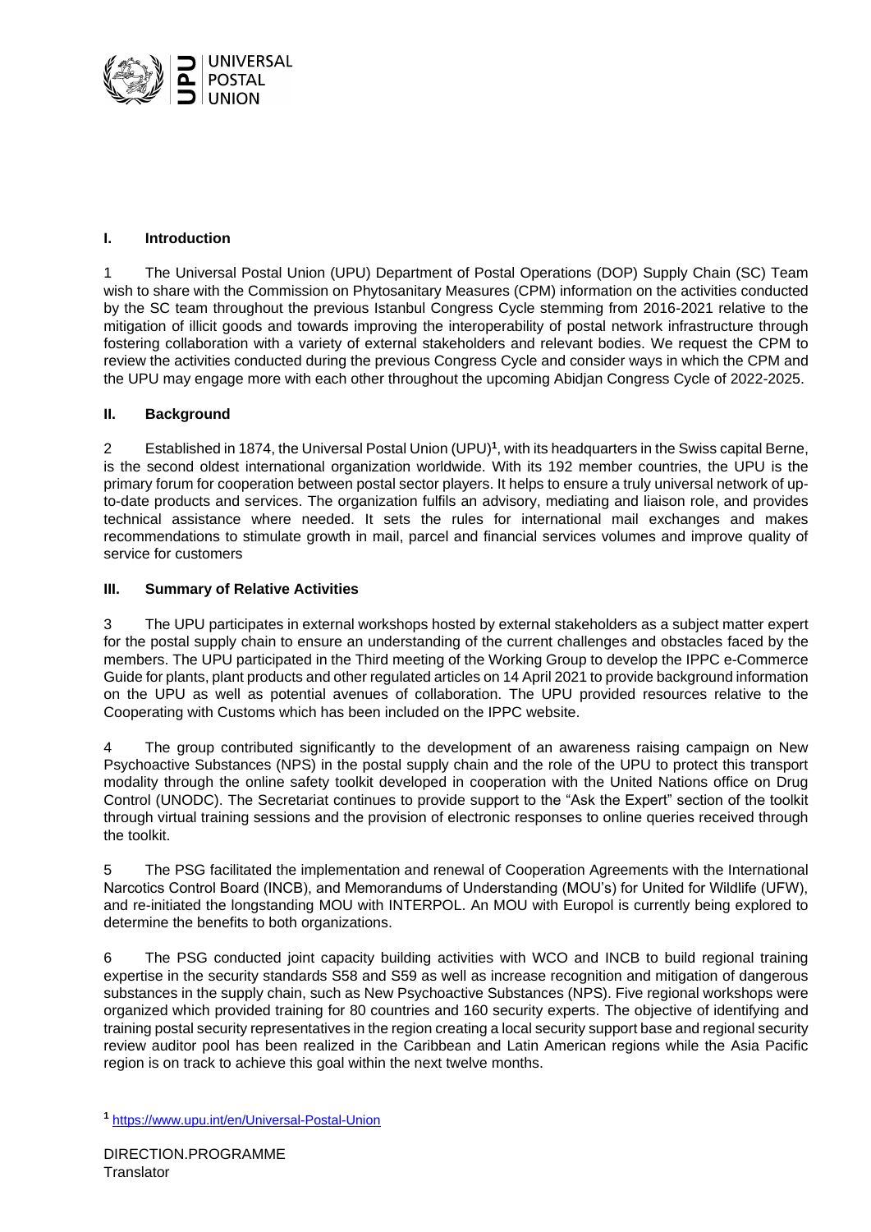

#### **I. Introduction**

1 The Universal Postal Union (UPU) Department of Postal Operations (DOP) Supply Chain (SC) Team wish to share with the Commission on Phytosanitary Measures (CPM) information on the activities conducted by the SC team throughout the previous Istanbul Congress Cycle stemming from 2016-2021 relative to the mitigation of illicit goods and towards improving the interoperability of postal network infrastructure through fostering collaboration with a variety of external stakeholders and relevant bodies. We request the CPM to review the activities conducted during the previous Congress Cycle and consider ways in which the CPM and the UPU may engage more with each other throughout the upcoming Abidjan Congress Cycle of 2022-2025.

#### **II. Background**

2 Established in 1874, the Universal Postal Union (UPU)**<sup>1</sup>** , with its headquarters in the Swiss capital Berne, is the second oldest international organization worldwide. With its 192 member countries, the UPU is the primary forum for cooperation between postal sector players. It helps to ensure a truly universal network of upto-date products and services. The organization fulfils an advisory, mediating and liaison role, and provides technical assistance where needed. It sets the rules for international mail exchanges and makes recommendations to stimulate growth in mail, parcel and financial services volumes and improve quality of service for customers

### **III. Summary of Relative Activities**

3 The UPU participates in external workshops hosted by external stakeholders as a subject matter expert for the postal supply chain to ensure an understanding of the current challenges and obstacles faced by the members. The UPU participated in the Third meeting of the Working Group to develop the IPPC e-Commerce Guide for plants, plant products and other regulated articles on 14 April 2021 to provide background information on the UPU as well as potential avenues of collaboration. The UPU provided resources relative to the Cooperating with Customs which has been included on the IPPC website.

The group contributed significantly to the development of an awareness raising campaign on New Psychoactive Substances (NPS) in the postal supply chain and the role of the UPU to protect this transport modality through the online safety toolkit developed in cooperation with the United Nations office on Drug Control (UNODC). The Secretariat continues to provide support to the "Ask the Expert" section of the toolkit through virtual training sessions and the provision of electronic responses to online queries received through the toolkit.

5 The PSG facilitated the implementation and renewal of Cooperation Agreements with the International Narcotics Control Board (INCB), and Memorandums of Understanding (MOU's) for United for Wildlife (UFW), and re-initiated the longstanding MOU with INTERPOL. An MOU with Europol is currently being explored to determine the benefits to both organizations.

6 The PSG conducted joint capacity building activities with WCO and INCB to build regional training expertise in the security standards S58 and S59 as well as increase recognition and mitigation of dangerous substances in the supply chain, such as New Psychoactive Substances (NPS). Five regional workshops were organized which provided training for 80 countries and 160 security experts. The objective of identifying and training postal security representatives in the region creating a local security support base and regional security review auditor pool has been realized in the Caribbean and Latin American regions while the Asia Pacific region is on track to achieve this goal within the next twelve months.

**<sup>1</sup>** <https://www.upu.int/en/Universal-Postal-Union>